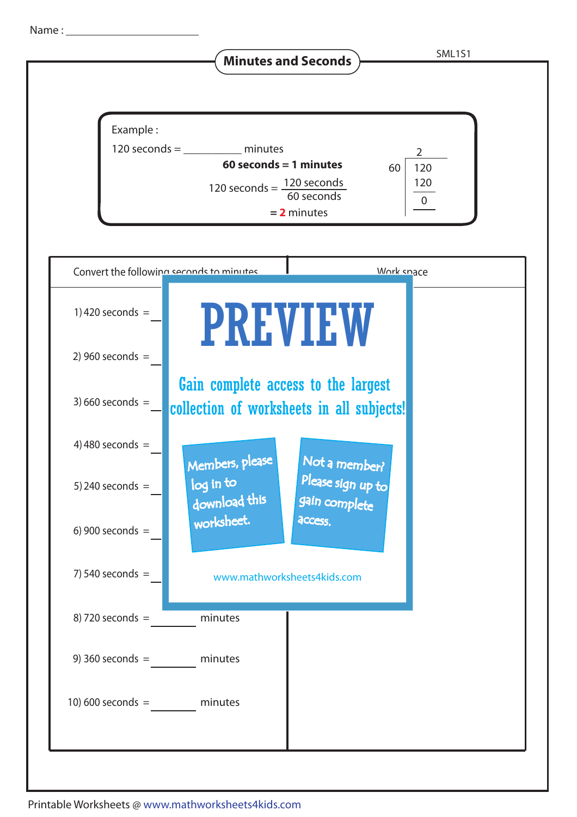